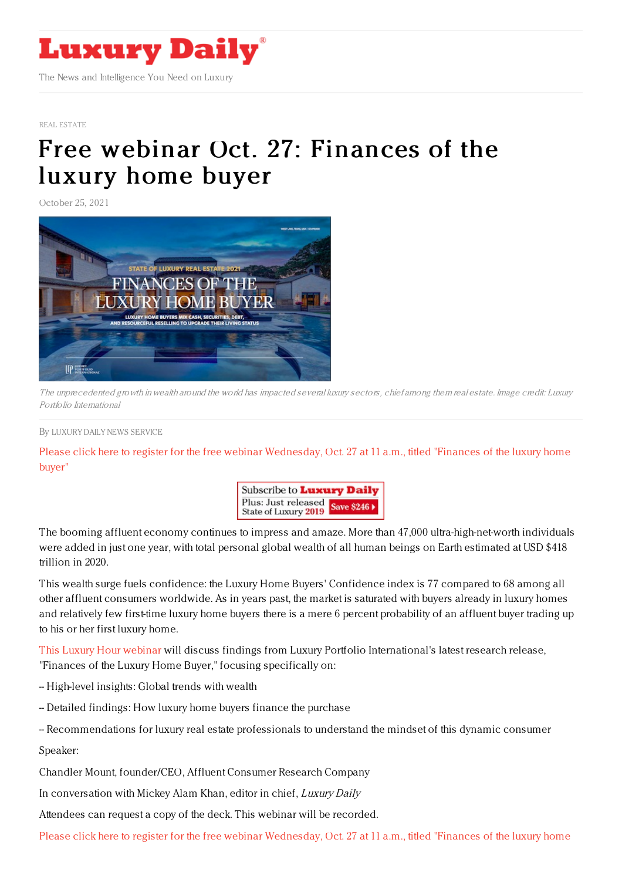

## REAL [ESTATE](https://www.luxurydaily.com/category/sectors/real-estate/)

## Free webinar Oct. 27: [Finances](https://www.luxurydaily.com/free-webinar-oct-27-finances-of-the-luxury-home-buyer/) of the luxury home buyer

October 25, 2021



The unprecedented growth in wealth around the world has impacted several luxury sectors, chief among them real estate. Image credit: Luxury Portfolio International

## By LUXURY DAILY NEWS [SERVICE](file:///author/luxury-daily-news-service)

Please click here to register for the free webinar [Wednesday,](https://register.gotowebinar.com/register/3073372909723301902) Oct. 27 at 11 a.m., titled "Finances of the luxury home buyer"



The booming affluent economy continues to impress and amaze. More than 47,000 ultra-high-net-worth individuals were added in just one year, with total personal global wealth of all human beings on Earth estimated at USD \$418 trillion in 2020.

This wealth surge fuels confidence: the Luxury Home Buyers' Confidence index is 77 compared to 68 among all other affluent consumers worldwide. As in years past, the market is saturated with buyers already in luxury homes and relatively few first-time luxury home buyers there is a mere 6 percent probability of an affluent buyer trading up to his or her first luxury home.

This Luxury Hour [webinar](https://register.gotowebinar.com/register/3073372909723301902) will discuss findings from Luxury Portfolio International's latest research release, "Finances of the Luxury Home Buyer," focusing specifically on:

- -- High-level insights: Global trends with wealth
- -- Detailed findings: How luxury home buyers finance the purchase
- -- Recommendations for luxury real estate professionals to understand the mindset of this dynamic consumer

Speaker:

Chandler Mount, founder/CEO, Affluent Consumer Research Company

In conversation with Mickey Alam Khan, editor in chief, Luxury Daily

Attendees can request a copy of the deck. This webinar will be recorded.

Please click here to register for the free webinar [Wednesday,](https://register.gotowebinar.com/register/3073372909723301902) Oct. 27 at 11 a.m., titled "Finances of the luxury home